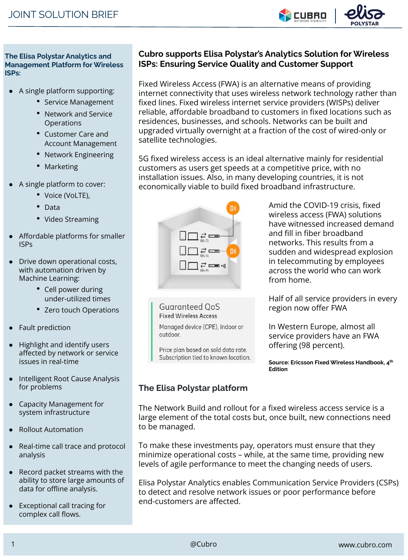

**The Elisa Polystar Analytics and Management Platform for Wireless ISPs:**

- A single platform supporting:
	- Service Management
	- Network and Service **Operations**
	- Customer Care and Account Management
	- Network Engineering
	- Marketing
- A single platform to cover:
	- Voice (VoLTE),
	- Data
	- Video Streaming
- Affordable platforms for smaller ISPs
- Drive down operational costs, with automation driven by Machine Learning:
	- Cell power during under-utilized times
	- Zero touch Operations
- Fault prediction
- Highlight and identify users affected by network or service issues in real-time
- Intelligent Root Cause Analysis for problems
- Capacity Management for system infrastructure
- Rollout Automation
- Real-time call trace and protocol analysis
- Record packet streams with the ability to store large amounts of data for offline analysis.
- **Exceptional call tracing for** complex call flows.

## **Cubro supports Elisa Polystar's Analytics Solution for Wireless ISPs: Ensuring Service Quality and Customer Support**

Fixed Wireless Access (FWA) is an alternative means of providing internet connectivity that uses wireless network technology rather than fixed lines. Fixed wireless internet service providers (WISPs) deliver reliable, affordable broadband to customers in fixed locations such as residences, businesses, and schools. Networks can be built and upgraded virtually overnight at a fraction of the cost of wired-only or satellite technologies.

5G fixed wireless access is an ideal alternative mainly for residential customers as users get speeds at a competitive price, with no installation issues. Also, in many developing countries, it is not economically viable to build fixed broadband infrastructure.



Amid the COVID-19 crisis, fixed wireless access (FWA) solutions have witnessed increased demand and fill in fiber broadband networks. This results from a sudden and widespread explosion in telecommuting by employees across the world who can work from home.

Half of all service providers in every region now offer FWA

In Western Europe, almost all service providers have an FWA offering (98 percent).

**Source: Ericsson Fixed Wireless Handbook, 4th Edition**

## **The Elisa Polystar platform**

**Guaranteed QoS Fixed Wireless Access** 

outdoor.

Managed device (CPE), indoor or

Price plan based on sold data rate. Subscription tied to known location.

The Network Build and rollout for a fixed wireless access service is a large element of the total costs but, once built, new connections need to be managed.

To make these investments pay, operators must ensure that they minimize operational costs – while, at the same time, providing new levels of agile performance to meet the changing needs of users.

Elisa Polystar Analytics enables Communication Service Providers (CSPs) to detect and resolve network issues or poor performance before end-customers are affected.